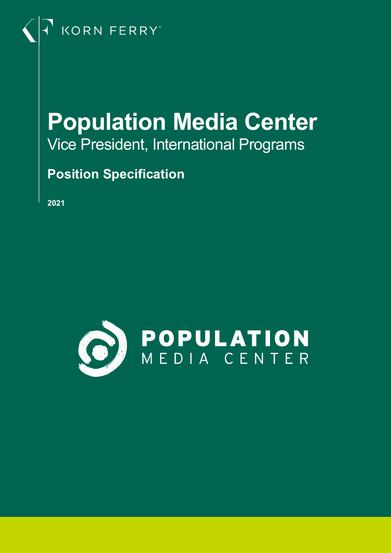

# **Population Media Center** Vice President, International Programs

## **Position Specification**

**2021**

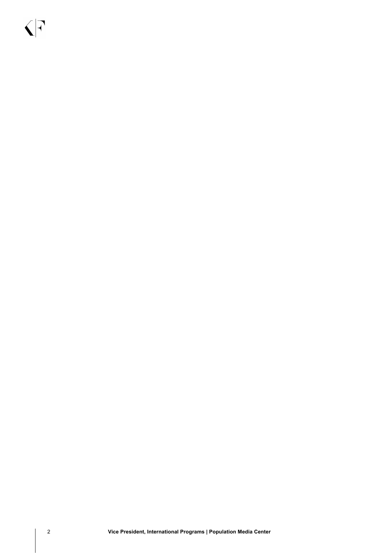$\sqrt{7}$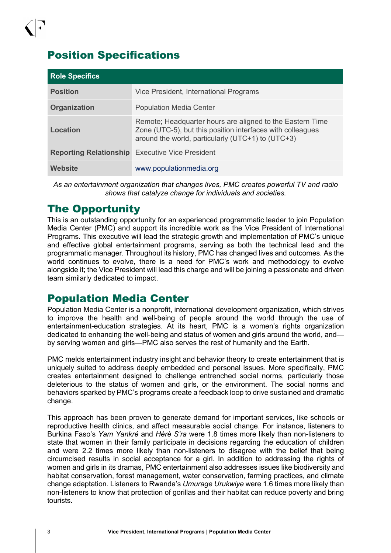## Position Specifications

| <b>Role Specifics</b> |                                                                                                                                                                              |
|-----------------------|------------------------------------------------------------------------------------------------------------------------------------------------------------------------------|
| <b>Position</b>       | Vice President, International Programs                                                                                                                                       |
| <b>Organization</b>   | <b>Population Media Center</b>                                                                                                                                               |
| Location              | Remote; Headquarter hours are aligned to the Eastern Time<br>Zone (UTC-5), but this position interfaces with colleagues<br>around the world, particularly (UTC+1) to (UTC+3) |
|                       | <b>Reporting Relationship</b> Executive Vice President                                                                                                                       |
| Website               | www.populationmedia.org                                                                                                                                                      |

*As an entertainment organization that changes lives, PMC creates powerful TV and radio shows that catalyze change for individuals and societies.*

## The Opportunity

This is an outstanding opportunity for an experienced programmatic leader to join Population Media Center (PMC) and support its incredible work as the Vice President of International Programs. This executive will lead the strategic growth and implementation of PMC's unique and effective global entertainment programs, serving as both the technical lead and the programmatic manager. Throughout its history, PMC has changed lives and outcomes. As the world continues to evolve, there is a need for PMC's work and methodology to evolve alongside it; the Vice President will lead this charge and will be joining a passionate and driven team similarly dedicated to impact.

## Population Media Center

Population Media Center is a nonprofit, international development organization, which strives to improve the health and well-being of people around the world through the use of entertainment-education strategies. At its heart, PMC is a women's rights organization dedicated to enhancing the well-being and status of women and girls around the world, and by serving women and girls—PMC also serves the rest of humanity and the Earth.

PMC melds entertainment industry insight and behavior theory to create entertainment that is uniquely suited to address deeply embedded and personal issues. More specifically, PMC creates entertainment designed to challenge entrenched social norms, particularly those deleterious to the status of women and girls, or the environment. The social norms and behaviors sparked by PMC's programs create a feedback loop to drive sustained and dramatic change.

This approach has been proven to generate demand for important services, like schools or reproductive health clinics, and affect measurable social change. For instance, listeners to Burkina Faso's *Yam Yankré* and *Hèrè S'ra* were 1.8 times more likely than non-listeners to state that women in their family participate in decisions regarding the education of children and were 2.2 times more likely than non-listeners to disagree with the belief that being circumcised results in social acceptance for a girl. In addition to addressing the rights of women and girls in its dramas, PMC entertainment also addresses issues like biodiversity and habitat conservation, forest management, water conservation, farming practices, and climate change adaptation. Listeners to Rwanda's *Umurage Urukwiye* were 1.6 times more likely than non-listeners to know that protection of gorillas and their habitat can reduce poverty and bring tourists.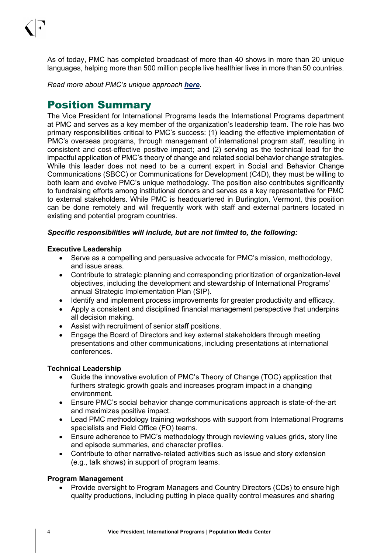As of today, PMC has completed broadcast of more than 40 shows in more than 20 unique languages, helping more than 500 million people live healthier lives in more than 50 countries.

*Read more about PMC's unique approach here*.

## Position Summary

The Vice President for International Programs leads the International Programs department at PMC and serves as a key member of the organization's leadership team. The role has two primary responsibilities critical to PMC's success: (1) leading the effective implementation of PMC's overseas programs, through management of international program staff, resulting in consistent and cost-effective positive impact; and (2) serving as the technical lead for the impactful application of PMC's theory of change and related social behavior change strategies. While this leader does not need to be a current expert in Social and Behavior Change Communications (SBCC) or Communications for Development (C4D), they must be willing to both learn and evolve PMC's unique methodology. The position also contributes significantly to fundraising efforts among institutional donors and serves as a key representative for PMC to external stakeholders. While PMC is headquartered in Burlington, Vermont, this position can be done remotely and will frequently work with staff and external partners located in existing and potential program countries.

#### *Specific responsibilities will include, but are not limited to, the following:*

#### **Executive Leadership**

- Serve as a compelling and persuasive advocate for PMC's mission, methodology, and issue areas.
- Contribute to strategic planning and corresponding prioritization of organization-level objectives, including the development and stewardship of International Programs' annual Strategic Implementation Plan (SIP).
- Identify and implement process improvements for greater productivity and efficacy.
- Apply a consistent and disciplined financial management perspective that underpins all decision making.
- Assist with recruitment of senior staff positions.
- Engage the Board of Directors and key external stakeholders through meeting presentations and other communications, including presentations at international conferences.

#### **Technical Leadership**

- Guide the innovative evolution of PMC's Theory of Change (TOC) application that furthers strategic growth goals and increases program impact in a changing environment.
- Ensure PMC's social behavior change communications approach is state-of-the-art and maximizes positive impact.
- Lead PMC methodology training workshops with support from International Programs specialists and Field Office (FO) teams.
- Ensure adherence to PMC's methodology through reviewing values grids, story line and episode summaries, and character profiles.
- Contribute to other narrative-related activities such as issue and story extension (e.g., talk shows) in support of program teams.

#### **Program Management**

• Provide oversight to Program Managers and Country Directors (CDs) to ensure high quality productions, including putting in place quality control measures and sharing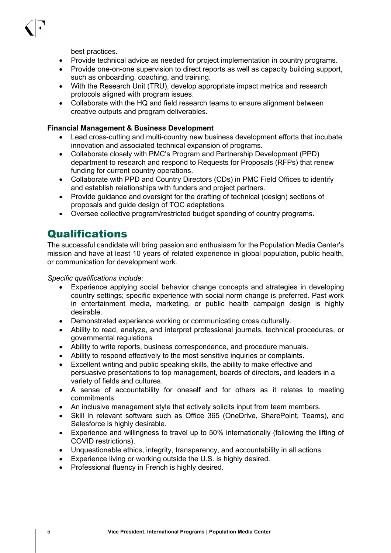best practices.

- Provide technical advice as needed for project implementation in country programs.
- Provide one-on-one supervision to direct reports as well as capacity building support, such as onboarding, coaching, and training.
- With the Research Unit (TRU), develop appropriate impact metrics and research protocols aligned with program issues.
- Collaborate with the HQ and field research teams to ensure alignment between creative outputs and program deliverables.

#### **Financial Management & Business Development**

- Lead cross-cutting and multi-country new business development efforts that incubate innovation and associated technical expansion of programs.
- Collaborate closely with PMC's Program and Partnership Development (PPD) department to research and respond to Requests for Proposals (RFPs) that renew funding for current country operations.
- Collaborate with PPD and Country Directors (CDs) in PMC Field Offices to identify and establish relationships with funders and project partners.
- Provide guidance and oversight for the drafting of technical (design) sections of proposals and guide design of TOC adaptations.
- Oversee collective program/restricted budget spending of country programs.

### Qualifications

The successful candidate will bring passion and enthusiasm for the Population Media Center's mission and have at least 10 years of related experience in global population, public health, or communication for development work.

*Specific qualifications include:*

- Experience applying social behavior change concepts and strategies in developing country settings; specific experience with social norm change is preferred. Past work in entertainment media, marketing, or public health campaign design is highly desirable.
- Demonstrated experience working or communicating cross culturally.
- Ability to read, analyze, and interpret professional journals, technical procedures, or governmental regulations.
- Ability to write reports, business correspondence, and procedure manuals.
- Ability to respond effectively to the most sensitive inquiries or complaints.
- Excellent writing and public speaking skills, the ability to make effective and persuasive presentations to top management, boards of directors, and leaders in a variety of fields and cultures.
- A sense of accountability for oneself and for others as it relates to meeting commitments.
- An inclusive management style that actively solicits input from team members.
- Skill in relevant software such as Office 365 (OneDrive, SharePoint, Teams), and Salesforce is highly desirable.
- Experience and willingness to travel up to 50% internationally (following the lifting of COVID restrictions).
- Unquestionable ethics, integrity, transparency, and accountability in all actions.
- Experience living or working outside the U.S. is highly desired.
- Professional fluency in French is highly desired.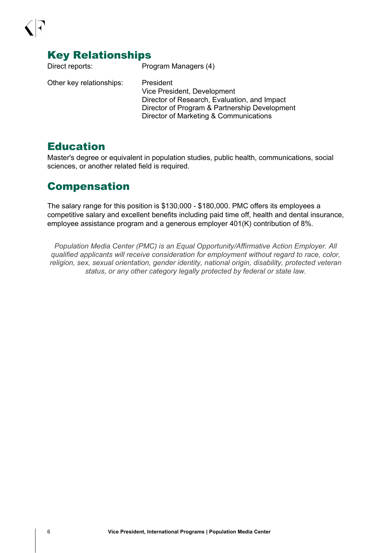## Key Relationships

| Direct reports:          | Program Managers (4)                                                                                                                                                                |
|--------------------------|-------------------------------------------------------------------------------------------------------------------------------------------------------------------------------------|
| Other key relationships: | President<br>Vice President, Development<br>Director of Research, Evaluation, and Impact<br>Director of Program & Partnership Development<br>Director of Marketing & Communications |

## Education

Master's degree or equivalent in population studies, public health, communications, social sciences, or another related field is required.

## Compensation

The salary range for this position is \$130,000 - \$180,000. PMC offers its employees a competitive salary and excellent benefits including paid time off, health and dental insurance, employee assistance program and a generous employer 401(K) contribution of 8%.

*Population Media Center (PMC) is an Equal Opportunity/Affirmative Action Employer. All qualified applicants will receive consideration for employment without regard to race, color, religion, sex, sexual orientation, gender identity, national origin, disability, protected veteran status, or any other category legally protected by federal or state law.*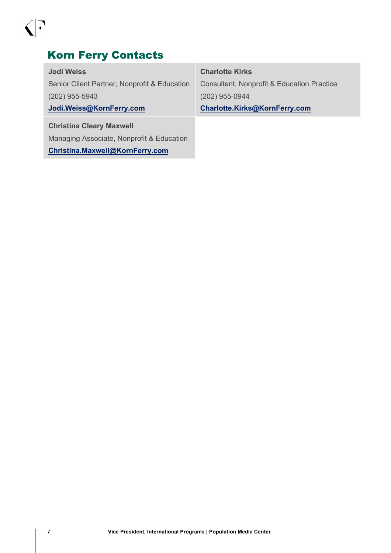## Korn Ferry Contacts

 $\sqrt{7}$ 

| <b>Jodi Weiss</b>                            | <b>Charlotte Kirks</b>                                |
|----------------------------------------------|-------------------------------------------------------|
| Senior Client Partner, Nonprofit & Education | <b>Consultant, Nonprofit &amp; Education Practice</b> |
| $(202)$ 955-5943                             | $(202)$ 955-0944                                      |
| Jodi.Weiss@KornFerry.com                     | Charlotte.Kirks@KornFerry.com                         |
| <b>Christina Cleary Maxwell</b>              |                                                       |
| Managing Associate, Nonprofit & Education    |                                                       |
| Christina.Maxwell@KornFerry.com              |                                                       |